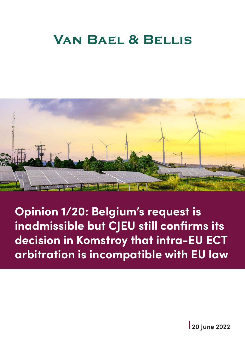# **VAN BAEL & BELLIS**



**Opinion 1/20: Belgium's request is inadmissible but CJEU still confirms its decision in Komstroy that intra-EU ECT arbitration is incompatible with EU law**

**20 June 2022**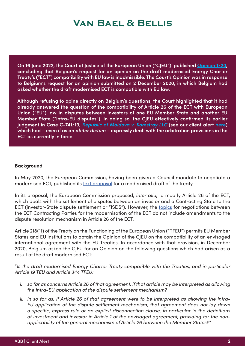## **VAN BAEL & BELLIS**

**On 16 June 2022, the Court of Justice of the European Union ("CJEU") published [Opinion 1/20](https://curia.europa.eu/juris/document/document.jsf?text=&docid=260993&pageIndex=0&doclang=en&mode=lst&dir=&occ=first&part=1&cid=3184590), concluding that Belgium's request for an opinion on the draft modernised Energy Charter Treaty's ("ECT") compatibility with EU law is inadmissible. The Court's Opinion was in response to Belgium's request for an opinion submitted on 2 December 2020, in which Belgium had asked whether the draft modernised ECT is compatible with EU law.**

**Although refusing to opine directly on Belgium's questions, the Court highlighted that it had already answered the question of the compatibility of Article 26 of the ECT with European Union ("EU") law in disputes between investors of one EU Member State and another EU Member State ("intra-EU disputes"). In doing so, the CJEU effectively confirmed its earlier judgment in Case C-741/19,** *[Republic of Moldova v. Komstroy LLC](https://curia.europa.eu/juris/document/document.jsf;jsessionid=2BFB56B1AD7F906558B750412512E102?text=&docid=245528&pageIndex=0&doclang=en&mode=lst&dir=&occ=first&part=1&cid=5438875)* **(see our client alert [here](https://www.vbb.com/insights/trade-and-customs/case-c-74119-the-cjeu-decides-that-intra-eu-ect-arbitration-is-incompatible-with-eu-law-and-interprets-the-definition-of-investment-in-the-ect)) which had – even if as an** *obiter dictum* **– expressly dealt with the arbitration provisions in the ECT as currently in force.**

#### **Background**

In May 2020, the European Commission, having been given a Council mandate to negotiate a modernised ECT, published its [text proposal](https://trade.ec.europa.eu/doclib/docs/2020/may/tradoc_158754.pdf) for a modernised draft of the treaty.

In its proposal, the European Commission proposed, *inter alia*, to modify Article 26 of the ECT, which deals with the settlement of disputes between an investor and a Contracting State to the ECT (investor-State dispute settlement or "ISDS"). However, the [topics](https://www.energychartertreaty.org/modernisation-of-the-treaty/) for negotiations between the ECT Contracting Parties for the modernisation of the ECT do not include amendments to the dispute resolution mechanism in Article 26 of the ECT.

Article 218(11) of the Treaty on the Functioning of the European Union ("TFEU") permits EU Member States and EU institutions to obtain the Opinion of the CJEU on the compatibility of an envisaged international agreement with the EU Treaties. In accordance with that provision, in December 2020, Belgium asked the CJEU for an Opinion on the following questions which had arisen as a result of the draft modernised ECT:

"*Is the draft modernised Energy Charter Treaty compatible with the Treaties, and in particular Article 19 TEU and Article 344 TFEU:*

- *i. so far as concerns Article 26 of that agreement, if that article may be interpreted as allowing the intra-EU application of the dispute settlement mechanism?*
- *ii. in so far as, if Article 26 of that agreement were to be interpreted as allowing the intra-EU application of the dispute settlement mechanism, that agreement does not lay down a specific, express rule or an explicit disconnection clause, in particular in the definitions of investment and investor in Article 1 of the envisaged agreement, providing for the nonapplicability of the general mechanism of Article 26 between the Member States?"*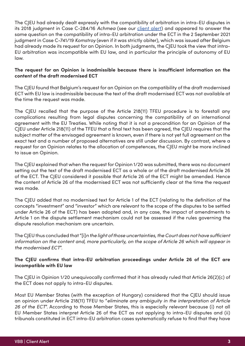The CJEU had already dealt expressly with the compatibility of arbitration in intra-EU disputes in its 2018 judgment in Case C-284/16 *Achmea* (see our [client alert](https://www.vbb.com/media/Insights_News/VBB-Client-Alert-ECJ-delivers-judgment-in-Achmea-13.03.2018.pdf)) and appeared to answer the same question on the compatibility of intra-EU arbitration under the ECT in the 2 September 2021 judgment in Case C-741/19 *Komstroy* (even if it was strictly obiter), which was issued after Belgium had already made its request for an Opinion. In both judgments, the CJEU took the view that intra-EU arbitration was incompatible with EU law, and in particular the principle of autonomy of EU law.

## **The request for an Opinion is inadmissible because there is insufficient information on the content of the draft modernised ECT**

The CJEU found that Belgium's request for an Opinion on the compatibility of the draft modernised ECT with EU law is inadmissible because the text of the draft modernised ECT was not available at the time the request was made.

The CJEU recalled that the purpose of the Article 218(11) TFEU procedure is to forestall any complications resulting from legal disputes concerning the compatibility of an international agreement with the EU Treaties. While noting that it is not a precondition for an Opinion of the CJEU under Article 218(11) of the TFEU that a final text has been agreed, the CJEU requires that the subject matter of the envisaged agreement is known, even if there is not yet full agreement on the exact text and a number of proposed alternatives are still under discussion. By contrast, where a request for an Opinion relates to the allocation of competences, the CJEU might be more inclined to issue an Opinion.

The CJEU explained that when the request for Opinion 1/20 was submitted, there was no document setting out the text of the draft modernised ECT as a whole or of the draft modernised Article 26 of the ECT. The CJEU considered it possible that Article 26 of the ECT might be amended. Hence the content of Article 26 of the modernised ECT was not sufficiently clear at the time the request was made.

The CJEU added that no modernised text for Article 1 of the ECT (relating to the definition of the concepts "investment" and "investor" which are relevant to the scope of the disputes to be settled under Article 26 of the ECT) has been adopted and, in any case, the impact of amendments to Article 1 on the dispute settlement mechanism could not be assessed if the rules governing the dispute resolution mechanism are uncertain.

The CJEU thus concluded that "[i]*n the light of those uncertainties, the Court does not have sufficient*  information on the content and, more particularly, on the scope of Article 26 which will appear in *the modernised ECT*".

## **The CJEU confirms that intra-EU arbitration proceedings under Article 26 of the ECT are incompatible with EU law**

The CJEU in Opinion 1/20 unequivocally confirmed that it has already ruled that Article 26(2)(c) of the ECT does not apply to intra-EU disputes.

Most EU Member States (with the exception of Hungary) considered that the CJEU should issue an opinion under Article 218(11) TFEU to "*eliminate any ambiguity in the interpretation of Article 26 of the ECT*". According to those Member States, this is especially relevant because (i) not all EU Member States interpret Article 26 of the ECT as not applying to intra-EU disputes and (ii) tribunals constituted in ECT intra-EU arbitration cases systematically refuse to find that they have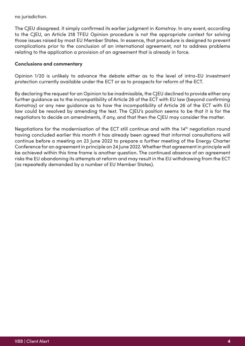no jurisdiction.

The CJEU disagreed. It simply confirmed its earlier judgment in *Komstroy*. In any event, according to the CJEU, an Article 218 TFEU Opinion procedure is not the appropriate context for solving those issues raised by most EU Member States. In essence, that procedure is designed to prevent complications prior to the conclusion of an international agreement, not to address problems relating to the application a provision of an agreement that is already in force.

## **Conclusions and commentary**

Opinion 1/20 is unlikely to advance the debate either as to the level of intra-EU investment protection currently available under the ECT or as to prospects for reform of the ECT.

By declaring the request for an Opinion to be inadmissible, the CJEU declined to provide either any further guidance as to the incompatibility of Article 26 of the ECT with EU law (beyond confirming *Komstroy*) or any new guidance as to how the incompatibility of Article 26 of the ECT with EU law could be resolved by amending the text. The CJEU's position seems to be that it is for the negotiators to decide on amendments, if any, and that then the CJEU may consider the matter.

Negotiations for the modernisation of the ECT still continue and with the  $14<sup>th</sup>$  negotiation round having concluded earlier this month it has already been agreed that informal consultations will continue before a meeting on 23 June 2022 to prepare a further meeting of the Energy Charter Conference for an agreement in principle on 24 June 2022. Whether that agreement in principle will be achieved within this time frame is another question. The continued absence of an agreement risks the EU abandoning its attempts at reform and may result in the EU withdrawing from the ECT (as repeatedly demanded by a number of EU Member States).